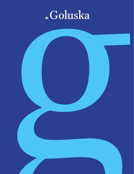### Goluska

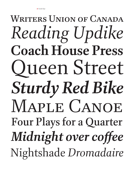### *Sturdy Red Bike* **Coach House Press** MAPLE CANOE *Midnight over coffee* Nightshade *Dromadaire* Four Plays for a Quarter *Reading Updike* Queen Street WRITERS UNION OF CANADA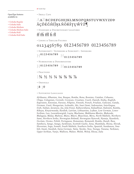OpenType features available in:

- Goluska Regular
- Goluska Italic
- Goluska Medium
- Goluska Medium Italic
- Goluska Bold
- Goluska Bold Italic



### AaBbcdefghijklmnopqrstuvwxyzðþ  $\mathring{A}$ ÇĎÉĞĤÍĴĶŁÑÖŔŠŢŲŴŶŽ $\check\P$

• Standard & Discretionary Ligatures

### $ff$   $ff$   $ff$   $f$  $f$  $f$  $f$  $f$

• Lining & Tabular Figures

### 0123456789 0123456789 0123456789

• Superscript / Superiors & Subscript / Inferiors



• Numerators & Denominators

 $\Pi$ 0123456789  $\Pi$ 0123456789

• FRACTIONS

 $1\frac{3}{4}$   $\frac{1}{2}$   $\frac{1}{3}$   $\frac{1}{4}$   $\frac{1}{4}$   $\frac{1}{8}$   $\frac{3}{8}$   $\frac{5}{8}$   $\frac{7}{8}$ 

• Ordinals

1ª 1º

• Supported Languages

*Afrikaans, Albanian, Asu, Basque, Bemba, Bena, Bosnian, Catalan, Cebuano, Chiga, Colognian, Cornish, Corsican, Croatian, Czech, Danish, Embu, English, Esperanto, Estonian, Faroese, Filipino, Finnish, French, Friulian, Galician, Ganda, German, Gusii, Hungarian, Icelandic, Ido, Inari Sami, Indonesian, Interlingua, Irish, Italian, Javanese, Jju, Jola-Fonyi, Kabuverdianu, Kalaallisut, Kalenjin, Kamba, Kikuyu, Kinyarwanda, Kurdish, Latvian, Lithuanian, Lojban, Low German, Lower Sorbian, Luo, Luxembourgish, Luyia, Machame, Makhuwa-Meetto, Makonde, Malagasy, Malay, Maltese, Manx, Māori, Mauritian, Meru, North Ndebele, Northern Sami, Northern Sotho, Norwegian Bokmål, Norwegian Nynorsk, Nyanja, Nyankole, Occitan, Oromo, Polish, Portuguese, Romanian, Romansh, Rombo, Rundi, Rwa, Samburu, Sango, Sangu, Sardinian, Scottish Gaelic, Sena, Shambala, Shona, Slovak, Slovenian, Soga, Somali, South Ndebele, Southern Sotho, Spanish, Sundanese, Swahili, Swati, Swedish, Swiss German, Taita, Taroko, Teso, Tsonga, Tswana, Turkmen, Upper Sorbian, Vunjo, Walloon, Walser, Welsh, Wolof, Xhosa, Zulu*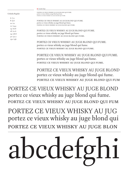# $JC$

PORTEZ CE VIEUX WHISKY AU JUG portez ce vieux whisky au juge blond qui portez ce vieux whisky au juge blon

PORTEZ CE VIEUX WHISKY AU JUGE BLOND portez ce vieux whisky au juge blond qui fume. portez ce vieux whisky au juge blond qui fum

PORTEZ CE VIEUX WHISKY AU JUGE BLOND portez ce vieux whisky au juge blond qui fume. portez ce vieux whisky au juge blond qui fum

PORTEZ CE VIEUX WHISKY AU JUGE BLOND QUI FUME. portez ce vieux whisky au juge blond qui fume. portez ce vieux whisky au juge blond qui fume.

PORTEZ CE VIEUX WHISKY AU JUGE BLOND QUI FUME. portez ce vieux whisky au juge blond qui fume. portez ce vieux whisky au juge blond qui fume.

PORTEZ CE VIEUX WHISKY AU JUGE BLOND QUI FUME. portez ce vieux whisky au juge blond qui fume. portez ce vieux whisky au juge blond qui fume.

PORTEZ CE VIEUX WHISKY AU JUGE BLOND QUI FUME.

Goluska Regular

6 /7.2 8 /9.6 10 /12 12 /14.4 14 /16.8 18 /21.6 24 /28.8 30 /32.2 130 /156 PORTEZ CE VIEUX WHISKY AU JUGE BLOND QUI FUME. portez ce vieux whisky au juge blond qui fume. portez ce vieux whisky au juge blond qui fume.

portez ce vieux whisky au juge blond qui fume. portez ce vieux whisky au juge blond qui fume.

Canada Type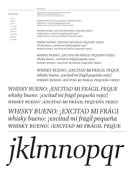|  | anada Type |  |
|--|------------|--|
|--|------------|--|

### *Goluska Italic*

*6 /7.2 8 /9.6 10 /12 12 /14.4 14 /16.8 18 /21.6 24 /28.8 30/32.2 130 /156* *WHISKY BUENO: ¡EXCITAD MI FRÁGIL PEQUEÑA VEJEZ! whisky bueno: ¡excitad mi frágil pequeña vejez! whisky bueno: ¡excitad mi frágil pequeña vejez!*

> *WHISKY BUENO: ¡EXCITAD MI FRÁGIL PEQUEÑA VEJEZ! whisky bueno: ¡excitad mi frágil pequeña vejez! whisky bueno: ¡excitad mi frágil pequeña vejez!*

*WHISKY BUENO: ¡EXCITAD MI FRÁGIL PEQUEÑA VEJEZ! whisky bueno: ¡excitad mi frágil pequeña vejez! whisky bueno: ¡excitad mi frágil pequeña vejez!*

*WHISKY BUENO: ¡EXCITAD MI FRÁGIL PEQUEÑA VEJEZ! whisky bueno: ¡excitad mi frágil pequeña vejez! whisky bueno: ¡excitad mi frágil pequeña vejez!*

*WHISKY BUENO: ¡EXCITAD MI FRÁGIL PEQUEÑA VEJEZ! whisky bueno: ¡excitad mi frágil pequeña vejez! whisky bueno: ¡excitad mi frágil pequeña vejez!*

*WHISKY BUENO: ¡EXCITAD MI FRÁGIL PEQUE whisky bueno: ¡excitad mi frágil pequeña vejez! whisky bueno: ¡excitad mi frágil pequeña vejez!*

*WHISKY BUENO: ¡EXCITAD MI FRÁGIL PEQUE whisky bueno: ¡excitad mi frágil pequeña vejez! whisky bueno: ¡excitad mi frágil pequeña vejez!*

*WHISKY BUENO: ¡EXCITAD MI FRÁGI whisky bueno: ¡excitad mi frágil pequeña whisky bueno: ¡excitad mi frágil peque*

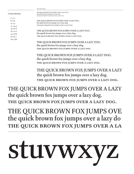### the quick brown fox jumps over a lazy do THE QUICK BROWN FOX JUMPS OVER A LA stuvwxyz

THE QUICK BROWN FOX JUMPS OVER A LAZY the quick brown fox jumps over a lazy dog. THE QUICK BROWN FOX JUMPS OVER A LAZY DOG.

THE QUICK BROWN FOX JUMPS OVE

THE QUICK BROWN FOX JUMPS OVER A LAZY the quick brown fox jumps over a lazy dog. THE QUICK BROWN FOX JUMPS OVER A LAZY DOG.

THE QUICK BROWN FOX JUMPS OVER A LAZY DOG. the quick brown fox jumps over a lazy dog. THE QUICK BROWN FOX JUMPS OVER A LAZY DOG.

THE QUICK BROWN FOX JUMPS OVER A LAZY DOG.

THE QUICK BROWN FOX JUMPS OVER A LAZY DOG. the quick brown fox jumps over a lazy dog. the quick brown fox jumps over a lazy dog.

THE QUICK BROWN FOX JUMPS OVER A LAZY DOG.

the quick brown fox jumps over a lazy dog.

THE QUICK BROWN FOX JUMPS OVER A LAZY DOG. the quick brown fox jumps over a lazy dog. THE QUICK BROWN FOX JUMPS OVER A LAZY DOG.

THE QUICK BROWN FOX JUMPS OVER A LAZY DOG. the quick brown fox jumps over a lazy dog. the quick brown fox jumps over a lazy dog.

6 /7.2 8 /9.6 10 /12 12 /14.4 14 /16.8 18 /21.6 24 /28.8 30/32.2

130 /156

Goluska Medium

Canada Type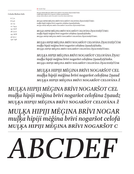*Goluska Medium Italic*

*6 /7.2 8 /9.6 10 /12 12 /14.4 14 /16.8 18 /21.6 24 /28.8 30/32.2 130 /156* *MUĻĶA HIPIJI MĒĢINA BRĪVI NOGARŠOT CELOFĀNA ŽŅAUDZĒJČŪSKU. muļķa hipiji mēģina brīvi nogaršot celofāna žņaudzējčūsku. muļķa hipiji mēģina brīvi nogaršot celofāna žņaudzējčūsku.*

*MUĻĶA HIPIJI MĒĢINA BRĪVI NOGARŠOT CELOFĀNA ŽŅAUDZĒJČŪSKU. muļķa hipiji mēģina brīvi nogaršot celofāna žņaudzējčūsku. muļķa hipiji mēģina brīvi nogaršot celofāna žņaudzējčūsku.*

*MUĻĶA HIPIJI MĒĢINA BRĪVI NOGARŠOT CELOFĀNA ŽŅAUDZĒJČŪSKU. muļķa hipiji mēģina brīvi nogaršot celofāna žņaudzējčūsku. muļķa hipiji mēģina brīvi nogaršot celofāna žņaudzējčūsku.*

*MUĻĶA HIPIJI MĒĢINA BRĪVI NOGARŠOT CELOFĀNA ŽŅAUDZĒJČŪSK muļķa hipiji mēģina brīvi nogaršot celofāna žņaudzējčūsku. muļķa hipiji mēģina brīvi nogaršot celofāna žņaudzējčūsku.*

*MUĻĶA HIPIJI MĒĢINA BRĪVI NOGARŠOT CELOFĀNA ŽŅAU muļķa hipiji mēģina brīvi nogaršot celofāna žņaudzējčūsku. muļķa hipiji mēģina brīvi nogaršot celofāna žņaudzējčūsk*

*MUĻĶA HIPIJI MĒĢINA BRĪVI NOGARŠOT CEL muļķa hipiji mēģina brīvi nogaršot celofāna žņaud muļķa hipiji mēģina brīvi nogaršot celofāna ž*

*MUĻĶA HIPIJI MĒĢINA BRĪVI NOGARŠOT CEL muļķa hipiji mēģina brīvi nogaršot celofāna žņaudz muļķa hipiji mēģina brīvi nogaršot celofāna ž*

*MUĻĶA HIPIJI MĒĢINA BRĪVI NOGAR muļķa hipiji mēģina brīvi nogaršot celofā muļķa hipiji mēģina brīvi nogaršot c*

## *ABCDEF*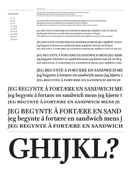### **Goluska Bold**

**6 /7.2 8 /9.6 10 /12 12 /14.4 14 /16.8 18 /21.6 24 /28.8 30/30.2 130 /156** **JEG BEGYNTE Å FORTÆRE EN SANDWICH MENS JEG KJØRTE TAXI PÅ VEI TIL QUIZ. jeg begynte å fortære en sandwich mens jeg kjørte taxi på vei til quiz. jeg begynte å fortære en sandwich mens jeg kjørte taxi på vei til quiz.**

**JEG BEGYNTE Å FORTÆRE EN SANDWICH MENS JEG KJØRTE TAXI PÅ VEI TIL QUIZ. jeg begynte å fortære en sandwich mens jeg kjørte taxi på vei til quiz. jeg begynte å fortære en sandwich mens jeg kjørte taxi på vei til quiz.**

**JEG BEGYNTE Å FORTÆRE EN SANDWICH MENS JEG KJØRTE TAXI PÅ VEI TIL jeg begynte å fortære en sandwich mens jeg kjørte taxi på vei til quiz. jeg begynte å fortære en sandwich mens jeg kjørte taxi på vei til quiz.**

**JEG BEGYNTE Å FORTÆRE EN SANDWICH MENS JEG KJØRTE TAXI P jeg begynte å fortære en sandwich mens jeg kjørte taxi på vei til quiz. jeg begynte å fortære en sandwich mens jeg kjørte taxi på vei til**

**JEG BEGYNTE Å FORTÆRE EN SANDWICH MENS JEG KJØR jeg begynte å fortære en sandwich mens jeg kjørte taxi på vei til q jeg begynte å fortære en sandwich mens jeg kjørte taxi**

**JEG BEGYNTE Å FORTÆRE EN SANDWICH ME jeg begynte å fortære en sandwich mens jeg kjørte t jeg begynte å fortære en sandwich mens je**

**JEG BEGYNTE Å FORTÆRE EN SANDWICH ME jeg begynte å fortære en sandwich mens jeg kjørte t jeg begynte å fortære en sandwich mens je**

**JEG BEGYNTE Å FORTÆRE EN SAND jeg begynte å fortære en sandwich mens j jeg begynte å fortære en sandwich**

## **GHIJKL?**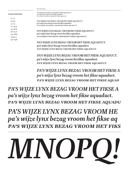*Goluska Bold Italic 6 /7.2 8 /9.6 10 /12 12 /14.4 14 /16.8 18 /21.6 24 /28.8 30/32.2*

*130 /156*

*PA'S WIJZE LYNX BEZAG VROOM HET FIKSE AQUADUCT. pa's wijze lynx bezag vroom het fikse aquaduct. pa's wijze lynx bezag vroom het fikse aquaduct.* 

*PA'S WIJZE LYNX BEZAG VROOM HET FIKSE AQUADUCT. pa's wijze lynx bezag vroom het fikse aquaduct. pa's wijze lynx bezag vroom het fikse aquaduct.*

*PA'S WIJZE LYNX BEZAG VROOM HET FIKSE AQUADUCT. pa's wijze lynx bezag vroom het fikse aquaduct. pa's wijze lynx bezag vroom het fikse aquaduct.*

*PA'S WIJZE LYNX BEZAG VROOM HET FIKSE AQUADUCT. pa's wijze lynx bezag vroom het fikse aquaduct. pa's wijze lynx bezag vroom het fikse aquaduct.*

*PA'S WIJZE LYNX BEZAG VROOM HET FIKSE AQUADUCT. pa's wijze lynx bezag vroom het fikse aquaduct. pa's wijze lynx bezag vroom het fikse aquaduct.*

*PA'S WIJZE LYNX BEZAG VROOM HET FIKSE A pa's wijze lynx bezag vroom het fikse aquaduct. pa's wijze lynx bezag vroom het fikse aquad*

*PA'S WIJZE LYNX BEZAG VROOM HET FIKSE A pa's wijze lynx bezag vroom het fikse aquaduct. pa's wijze lynx bezag vroom het fikse aquadu*

*PA'S WIJZE LYNX BEZAG VROOM HE pa's wijze lynx bezag vroom het fikse aq pa's wijze lynx bezag vroom het fiks*

## *MNOPQ!*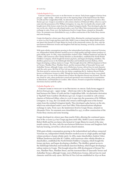### Goluska Regular 8/9.5

 Gorgie's name is thought to be Brythonic in origin. Early forms suggest it derives from gor gyn – upper wedge – which may refer to the tapering shape of the land between the Water of Leith and the Craiglockhart hills. An alternative derivation is 'big field' from Cumbric (Brythonic) gor cyn. Gorgie is recorded in 12th century charters of Holyrood Abbey, when in 1236 it came into the possession of Sir William Livingston. In 1799, the Cox family who owned a mill bought most of the former estate from the residual Livingston family. They developed a glue factory on the site, which was redeveloped under a new Post Office Telecommunications telephone exchange in 1969. From 1527, the landowners lived in Gorgie House, situated on Alexander Drive. Its remnants were demolished in 1937, to allow construction of the Pooles Roxy cinema and some housing.

Gorgie developed at a slower pace than nearby Dalry, allowing the continued operation of the 10 acres (4.0 ha) Gorgie pig farm until 1885. Robb's Loan is named after Robert Robb and his son James who farmed at Gorgie Mains for much of the nineteenth century. By 1800, only the area between Robertson Avenue and Saughton Park had any housing, served by a school and a church mission.

With grain whisky consumption growing in the industrialised and railway connected Victorian era, independent whisky blenders needed access to a high quality and high volume producer of grain whisky spirit. In 1885, major shareholders Andrew Usher, William Sanderson and John M. Crabbie, with numerous other whisky-blenders as shareholders, established the North British Distillery Company, which bought the former pig farm, and began developing a distillery. The distillery gained access to the Edinburgh Suburban and Southside Junction Railway, which began developing a railway station in Gorgie. This brought about the 1888 development of Stewart Terrace, Wardlaw Place, Wardlaw Street, and the tenement flats of Tynecastle Terrace and Ardmillan Terrace; although Gorgie, west of Robertson Avenue, did not lose its rural character until the early 1900s. McVitie & Price Ltd was established in 1830 on Rose Street in Edinburgh. The firm moved to various sites in the city, before completing the St. Andrews Biscuit Works factory on Robertson Avenue in 1888. Though the factory burned down in 1894, it was rebuilt the same year. It is one of the claimed sites of where the digestive biscuit was invented. The site was closed in 1969, when production ceased and operations were transferred to Levenshulme in Manchester, and Harlesden in London. After closure, Ferranti occupied the buildings as an electronics factory until the 1980s.

### Goluska Regular 9/11

 Gorgie's name is thought to be Brythonic in origin. Early forms suggest it derives from gor gyn – upper wedge – which may refer to the tapering shape of the land between the Water of Leith and the Craiglockhart hills. An alternative derivation is 'big field' from Cumbric (Brythonic) gor cyn. Gorgie is recorded in 12th century charters of Holyrood Abbey, when in 1236 it came into the possession of Sir William Livingston. In 1799, the Cox family who owned a mill bought most of the former estate from the residual Livingston family. They developed a glue factory on the site, which was redeveloped under a new Post Office Telecommunications telephone exchange in 1969. From 1527, the landowners lived in Gorgie House, situated on Alexander Drive. Its remnants were demolished in 1937, to allow construction of the Pooles Roxy cinema and some housing.

Gorgie developed at a slower pace than nearby Dalry, allowing the continued operation of the 10 acres (4.0 ha) Gorgie pig farm until 1885. Robb's Loan is named after Robert Robb and his son James who farmed at Gorgie Mains for much of the nineteenth century. By 1800, only the area between Robertson Avenue and Saughton Park had any housing, served by a school and a church mission.

With grain whisky consumption growing in the industrialised and railway connected Victorian era, independent whisky blenders needed access to a high quality and high volume producer of grain whisky spirit. In 1885, major shareholders Andrew Usher, William Sanderson and John M. Crabbie, with numerous other whisky-blenders as shareholders, established the North British Distillery Company, which bought the former pig farm, and began developing a distillery. The distillery gained access to the Edinburgh Suburban and Southside Junction Railway, which began developing a railway station in Gorgie. This brought about the 1888 development of Stewart Terrace, Wardlaw Place, Wardlaw Street, and the tenement flats of Tynecastle Terrace and Ardmillan Terrace; although Gorgie, west of Robertson Avenue, did not lose its rural character until the early 1900s. McVitie & Price Ltd was established in 1830 on Rose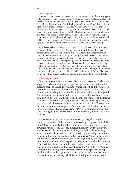### Goluska Regular 10/12

 Gorgie's name is thought to be Brythonic in origin. Early forms suggest it derives from gor gyn – upper wedge – which may refer to the tapering shape of the land between the Water of Leith and the Craiglockhart hills. An alternative derivation is 'big field' from Cumbric (Brythonic) gor cyn. Gorgie is recorded in 12th century charters of Holyrood Abbey, when in 1236 it came into the possession of Sir William Livingston. In 1799, the Cox family who owned a mill bought most of the former estate from the residual Livingston family. They developed a glue factory on the site, which was redeveloped under a new Post Office Telecommunications telephone exchange in 1969. From 1527, the landowners lived in Gorgie House, situated on Alexander Drive. Its remnants were demolished in 1937, to allow construction of the Pooles Roxy cinema and some housing.

Gorgie developed at a slower pace than nearby Dalry, allowing the continued operation of the 10 acres (4.0 ha) Gorgie pig farm until 1885. Robb's Loan is named after Robert Robb and his son James who farmed at Gorgie Mains for much of the nineteenth century. By 1800, only the area between Robertson Avenue and Saughton Park had any housing, served by a school and a church mission. With grain whisky consumption growing in the industrialised and railway connected Victorian era, independent whisky blenders needed access to a high quality and high volume producer of grain whisky spirit. In 1885, major shareholders Andrew Usher, William Sanderson and John M. Crabbie, with numerous other whisky-blenders as shareholders, established the North British Distillery Company, which bought the former pig farm, and began developing a distillery.

### Goluska Regular 11/12.5

 Gorgie's name is thought to be Brythonic in origin. Early forms suggest it derives from gor gyn – upper wedge – which may refer to the tapering shape of the land between the Water of Leith and the Craiglockhart hills. An alternative derivation is 'big field' from Cumbric (Brythonic) gor cyn. Gorgie is recorded in 12th century charters of Holyrood Abbey, when in 1236 it came into the possession of Sir William Livingston. In 1799, the Cox family who owned a mill bought most of the former estate from the residual Livingston family. They developed a glue factory on the site, which was redeveloped under a new Post Office Telecommunications telephone exchange in 1969. From 1527, the landowners lived in Gorgie House, situated on Alexander Drive. Its remnants were demolished in 1937, to allow construction of the Pooles Roxy cinema and some housing.

Gorgie developed at a slower pace than nearby Dalry, allowing the continued operation of the 10 acres (4.0 ha) Gorgie pig farm until 1885. Robb's Loan is named after Robert Robb and his son James who farmed at Gorgie Mains for much of the nineteenth century. By 1800, only the area between Robertson Avenue and Saughton Park had any housing, served by a school and a church mission. With grain whisky consumption growing in the industrialised and railway connected Victorian era, independent whisky blenders needed access to a high quality and high volume producer of grain whisky spirit. In 1885, major shareholders Andrew Usher, William Sanderson and John M. Crabbie, with numerous other whisky-blenders as shareholders, established the North British Distillery Company, which bought the former pig farm, and began developing a distillery. The distillery gained access to the Edinburgh Suburban and Southside Junction Railway, which began developing a railway station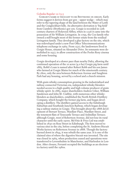### Goluska Regular 12/13.5

 Gorgie's name is thought to be Brythonic in origin. Early forms suggest it derives from gor gyn – upper wedge – which may refer to the tapering shape of the land between the Water of Leith and the Craiglockhart hills. An alternative derivation is 'big field' from Cumbric (Brythonic) gor cyn. Gorgie is recorded in 12th century charters of Holyrood Abbey, when in 1236 it came into the possession of Sir William Livingston. In 1799, the Cox family who owned a mill bought most of the former estate from the residual Livingston family. They developed a glue factory on the site, which was redeveloped under a new Post Office Telecommunications telephone exchange in 1969. From 1527, the landowners lived in Gorgie House, situated on Alexander Drive. Its remnants were demolished in 1937, to allow construction of the Pooles Roxy cinema and some housing.

Gorgie developed at a slower pace than nearby Dalry, allowing the continued operation of the 10 acres (4.0 ha) Gorgie pig farm until 1885. Robb's Loan is named after Robert Robb and his son James who farmed at Gorgie Mains for much of the nineteenth century. By 1800, only the area between Robertson Avenue and Saughton Park had any housing, served by a school and a church mission.

With grain whisky consumption growing in the industrialised and railway connected Victorian era, independent whisky blenders needed access to a high quality and high volume producer of grain whisky spirit. In 1885, major shareholders Andrew Usher, William Sanderson and John M. Crabbie, with numerous other whiskyblenders as shareholders, established the North British Distillery Company, which bought the former pig farm, and began developing a distillery. The distillery gained access to the Edinburgh Suburban and Southside Junction Railway, which began developing a railway station in Gorgie. This brought about the 1888 development of Stewart Terrace, Wardlaw Place, Wardlaw Street, and the tenement flats of Tynecastle Terrace and Ardmillan Terrace; although Gorgie, west of Robertson Avenue, did not lose its rural character until the early 1900s. McVitie & Price Ltd was established in 1830 on Rose Street in Edinburgh. The firm moved to various sites in the city, before completing the St. Andrews Biscuit Works factory on Robertson Avenue in 1888. Though the factory burned down in 1894, it was rebuilt the same year. It is one of the claimed sites of where the digestive biscuit was invented. The site was closed in 1969, when production ceased and operations were transferred to Levenshulme in Manchester, and Harlesden in London. After closure, Ferranti occupied the buildings as an electronics factory until the 1980s.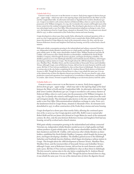### *Goluska Italic 8/9.5*

 *Gorgie's name is thought to be Brythonic in origin. Early forms suggest it derives from gor gyn – upper wedge – which may refer to the tapering shape of the land between the Water of Leith and the Craiglockhart hills. An alternative derivation is 'big field' from Cumbric (Brythonic) gor cyn. Gorgie is recorded in 12th century charters of Holyrood Abbey, when in 1236 it came into the possession of Sir William Livingston. In 1799, the Cox family who owned a mill bought most of the former estate from the residual Livingston family. They developed a glue factory on the site, which was redeveloped under a new Post O9ce Telecommunications telephone exchange in 1969. From 1527, the landowners lived in Gorgie House, situated on Alexander Drive. Its remnants were demolished in 1937, to allow construction of the Pooles Roxy cinema and some housing.*

Gorgie developed at a slower pace than nearby Dalry, allowing the continued operation of the 10 *acres (4.0 ha) Gorgie pig farm until 1885. Robb's Loan is named after Robert Robb and his son James who farmed at Gorgie Mains for much of the nineteenth century. By 1800, only the area between Robertson Avenue and Saughton Park had any housing, served by a school and a church mission.*

*With grain whisky consumption growing in the industrialised and railway connected Victorian era, independent whisky blenders needed access to a high quality and high volume producer of grain whisky spirit. In 1885, major shareholders Andrew Usher, William Sanderson and John M. Crabbie, with numerous other whisky-blenders as shareholders, established the North British Distillery Company, which bought the former pig farm, and began developing a distillery. The distillery gained access to the Edinburgh Suburban and Southside Junction Railway, which began developing a railway station in Gorgie. This brought about the 1888 development of Stewart Terrace, Wardlaw Place, Wardlaw Street, and the tenement flats of Tynecastle Terrace and Ardmillan Terrace; although Gorgie, west of Robertson Avenue, did not lose its rural character until the early 1900s. McVitie & Price Ltd was established in 1830 on Rose Street in Edinburgh. The firm moved to various sites in the city, before completing the St. Andrews Biscuit Works factory on Robertson Avenue in 1888. Though the factory burned down in 1894, it was rebuilt the same year. It is one of the claimed sites of where the digestive biscuit was invented. The site was closed in 1969, when production ceased and operations were transferred to Levenshulme in Manchester, and Harlesden in London. After closure, Ferranti occupied the buildings as an electronics factory until the 1980s.* 

### *Goluska Italic 9/11*

 *Gorgie's name is thought to be Brythonic in origin. Early forms suggest it derives from gor gyn – upper wedge – which may refer to the tapering shape of the land between the Water of Leith and the Craiglockhart hills. An alternative derivation is 'big field' from Cumbric (Brythonic) gor cyn. Gorgie is recorded in 12th century charters of Holyrood Abbey, when in 1236 it came into the possession of Sir William Livingston. In 1799, the Cox family who owned a mill bought most of the former estate from the residual Livingston family. They developed a glue factory on the site, which was redeveloped under a new Post O9ce Telecommunications telephone exchange in 1969. From 1527, the landowners lived in Gorgie House, situated on Alexander Drive. Its remnants were demolished in 1937, to allow construction of the Pooles Roxy cinema and some housing.* 

*Gorgie developed at a slower pace than nearby Dalry, allowing the continued operation of the 10 acres (4.0 ha) Gorgie pig farm until 1885. Robb's Loan is named after Robert Robb and his son James who farmed at Gorgie Mains for much of the nineteenth century. By 1800, only the area between Robertson Avenue and Saughton Park had any housing, served by a school and a church mission.*

*With grain whisky consumption growing in the industrialised and railway connected Victorian era, independent whisky blenders needed access to a high quality and high volume producer of grain whisky spirit. In 1885, major shareholders Andrew Usher, William Sanderson and John M. Crabbie, with numerous other whisky-blenders as shareholders, established the North British Distillery Company, which bought the former pig farm, and began developing a distillery. The distillery gained access to the Edinburgh Suburban and Southside Junction Railway, which began developing a railway station in Gorgie. This brought about the 1888 development of Stewart Terrace, Wardlaw Place, Wardlaw Street, and the tenement flats of Tynecastle Terrace and Ardmillan Terrace; although Gorgie, west of Robertson Avenue, did not lose its rural character until the early 1900s. McVitie & Price Ltd was established in 1830 on Rose Street in Edinburgh. The firm moved to various sites in the city, before completing the St. Andrews Biscuit Works factory on Robertson Avenue in 1888. Though the factory burned down in 1894, it was rebuilt the same year. It is one of the claimed sites of where the digestive biscuit*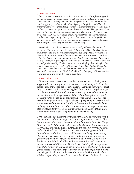### *Goluska Italic 10/12*

 *Gorgie's name is thought to be Brythonic in origin. Early forms suggest it derives from gor gyn – upper wedge – which may refer to the tapering shape of the land between the Water of Leith and the Craiglockhart hills. An alternative derivation is 'big field' from Cumbric (Brythonic) gor cyn. Gorgie is recorded in 12th century charters of Holyrood Abbey, when in 1236 it came into the possession of Sir William Livingston. In 1799, the Cox family who owned a mill bought most of the former estate from the residual Livingston family. They developed a glue factory on the site, which was redeveloped under a new Post O9ce Telecommunications telephone exchange in 1969. From 1527, the landowners lived in Gorgie House,*  situated on Alexander Drive. Its remnants were demolished in 1937, to allow con*struction of the Pooles Roxy cinema and some housing.*

*Gorgie developed at a slower pace than nearby Dalry, allowing the continued operation of the 10 acres (4.0 ha) Gorgie pig farm until 1885. Robb's Loan is named after Robert Robb and his son James who farmed at Gorgie Mains for much of the nineteenth century. By 1800, only the area between Robertson Avenue and Saughton Park had any housing, served by a school and a church mission. With grain whisky consumption growing in the industrialised and railway connected Victorian era, independent whisky blenders needed access to a high quality and high volume producer of grain whisky spirit. In 1885, major shareholders Andrew Usher, William Sanderson and John M. Crabbie, with numerous other whisky-blenders as shareholders, established the North British Distillery Company, which bought the former pig farm, and began developing a distillery.* 

### *Goluska Italic 11/12.5*

 *Gorgie's name is thought to be Brythonic in origin. Early forms suggest it derives from gor gyn – upper wedge – which may refer to the tapering shape of the land between the Water of Leith and the Craiglockhart hills. An alternative derivation is 'big field' from Cumbric (Brythonic) gor cyn. Gorgie is recorded in 12th century charters of Holyrood Abbey, when in 1236 it came into the possession of Sir William Livingston. In 1799, the Cox family who owned a mill bought most of the former estate from the residual Livingston family. They developed a glue factory on the site, which was redeveloped under a new Post O9ce Telecommunications telephone exchange in 1969. From 1527, the landowners lived in Gorgie House, situated on Alexander Drive. Its remnants were demolished in 1937, to allow construction of the Pooles Roxy cinema and some housing.*

*Gorgie developed at a slower pace than nearby Dalry, allowing the continued operation of the 10 acres (4.0 ha) Gorgie pig farm until 1885. Robb's Loan is named after Robert Robb and his son James who farmed at Gorgie Mains for much of the nineteenth century. By 1800, only the area between Robertson Avenue and Saughton Park had any housing, served by a school and a church mission. With grain whisky consumption growing in the industrialised and railway connected Victorian era, independent whisky blenders needed access to a high quality and high volume producer of grain whisky spirit. In 1885, major shareholders Andrew Usher, William Sanderson and John M. Crabbie, with numerous other whisky-blenders as shareholders, established the North British Distillery Company, which bought the former pig farm, and began developing a distillery. The distillery gained access to the Edinburgh Suburban and Southside Junction Railway, which began developing a railway station in Gorgie. This brought about the 1888 development of Stewart Terrace, Wardlaw Place, Wardlaw Street, and*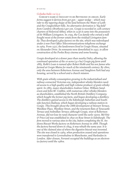### *Goluska Italic 12/13.5*

 *Gorgie's name is thought to be Brythonic in origin. Early forms suggest it derives from gor gyn – upper wedge – which may refer to the tapering shape of the land between the Water of Leith and the Craiglockhart hills. An alternative derivation is 'big field' from Cumbric (Brythonic) gor cyn. Gorgie is recorded in 12th century charters of Holyrood Abbey, when in 1236 it came into the possession of Sir William Livingston. In 1799, the Cox family who owned a mill bought most of the former estate from the residual Livingston family. They developed a glue factory on the site, which was redeveloped under a new Post O9ce Telecommunications telephone exchange in 1969. From 1527, the landowners lived in Gorgie House, situated on Alexander Drive. Its remnants were demolished in 1937, to allow construction of the Pooles Roxy cinema and some housing.*

*Gorgie developed at a slower pace than nearby Dalry, allowing the continued operation of the 10 acres (4.0 ha) Gorgie pig farm until 1885. Robb's Loan is named after Robert Robb and his son James who farmed at Gorgie Mains for much of the nineteenth century. By 1800, only the area between Robertson Avenue and Saughton Park had any housing, served by a school and a church mission.*

*With grain whisky consumption growing in the industrialised and railway connected Victorian era, independent whisky blenders needed access to a high quality and high volume producer of grain whisky spirit. In 1885, major shareholders Andrew Usher, William Sanderson and John M. Crabbie, with numerous other whisky-blenders as shareholders, established the North British Distillery Company, which bought the former pig farm, and began developing a distillery. The distillery gained access to the Edinburgh Suburban and Southside Junction Railway, which began developing a railway station in Gorgie. This brought about the 1888 development of Stewart Terrace, Wardlaw Place, Wardlaw Street, and the tenement flats of Tynecastle Terrace and Ardmillan Terrace; although Gorgie, west of Robertson Avenue, did not lose its rural character until the early 1900s. McVitie & Price Ltd was established in 1830 on Rose Street in Edinburgh. The firm moved to various sites in the city, before completing the St. Andrews Biscuit Works factory on Robertson Avenue in 1888. Though the factory burned down in 1894, it was rebuilt the same year. It is one of the claimed sites of where the digestive biscuit was invented. The site was closed in 1969, when production ceased and operations were transferred to Levenshulme in Manchester, and Harlesden in London. After closure, Ferranti occupied the buildings as an electronics factory until the 1980s.*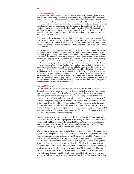### Goluska Medium 8/9.5

 Gorgie's name is thought to be Brythonic in origin. Early forms suggest it derives from gor gyn – upper wedge – which may refer to the tapering shape of the land between the Water of Leith and the Craiglockhart hills. An alternative derivation is 'big field' from Cumbric (Brythonic) gor cyn. Gorgie is recorded in 12th century charters of Holyrood Abbey, when in 1236 it came into the possession of Sir William Livingston. In 1799, the Cox family who owned a mill bought most of the former estate from the residual Livingston family. They developed a glue factory on the site, which was redeveloped under a new Post Office Telecommunications telephone exchange in 1969. From 1527, the landowners lived in Gorgie House, situated on Alexander Drive. Its remnants were demolished in 1937, to allow construction of the Pooles Roxy cinema and some housing.

Gorgie developed at a slower pace than nearby Dalry, allowing the continued operation of the 10 acres (4.0 ha) Gorgie pig farm until 1885. Robb's Loan is named after Robert Robb and his son James who farmed at Gorgie Mains for much of the nineteenth century. By 1800, only the area between Robertson Avenue and Saughton Park had any housing, served by a school and a church mission.

With grain whisky consumption growing in the industrialised and railway connected Victorian era, independent whisky blenders needed access to a high quality and high volume producer of grain whisky spirit. In 1885, major shareholders Andrew Usher, William Sanderson and John M. Crabbie, with numerous other whisky-blenders as shareholders, established the North British Distillery Company, which bought the former pig farm, and began developing a distillery. The distillery gained access to the Edinburgh Suburban and Southside Junction Railway, which began developing a railway station in Gorgie. This brought about the 1888 development of Stewart Terrace, Wardlaw Place, Wardlaw Street, and the tenement flats of Tynecastle Terrace and Ardmillan Terrace; although Gorgie, west of Robertson Avenue, did not lose its rural character until the early 1900s. McVitie & Price Ltd was established in 1830 on Rose Street in Edinburgh. The firm moved to various sites in the city, before completing the St. Andrews Biscuit Works factory on Robertson Avenue in 1888. Though the factory burned down in 1894, it was rebuilt the same year. It is one of the claimed sites of where the digestive biscuit was invented. The site was closed in 1969, when production ceased and operations were transferred to Levenshulme in Manchester, and Harlesden in London. After closure, Ferranti occupied the buildings as an electronics factory until the 1980s.

### Goluska Medium 9/11

 Gorgie's name is thought to be Brythonic in origin. Early forms suggest it derives from gor gyn – upper wedge – which may refer to the tapering shape of the land between the Water of Leith and the Craiglockhart hills. An alternative derivation is 'big field' from Cumbric (Brythonic) gor cyn. Gorgie is recorded in 12th century charters of Holyrood Abbey, when in 1236 it came into the possession of Sir William Livingston. In 1799, the Cox family who owned a mill bought most of the former estate from the residual Livingston family. They developed a glue factory on the site, which was redeveloped under a new Post Office Telecommunications telephone exchange in 1969. From 1527, the landowners lived in Gorgie House, situated on Alexander Drive. Its remnants were demolished in 1937, to allow construction of the Pooles Roxy cinema and some housing.

Gorgie developed at a slower pace than nearby Dalry, allowing the continued operation of the 10 acres (4.0 ha) Gorgie pig farm until 1885. Robb's Loan is named after Robert Robb and his son James who farmed at Gorgie Mains for much of the nineteenth century. By 1800, only the area between Robertson Avenue and Saughton Park had any housing, served by a school and a church mission.

With grain whisky consumption growing in the industrialised and railway connected Victorian era, independent whisky blenders needed access to a high quality and high volume producer of grain whisky spirit. In 1885, major shareholders Andrew Usher, William Sanderson and John M. Crabbie, with numerous other whisky-blenders as shareholders, established the North British Distillery Company, which bought the former pig farm, and began developing a distillery. The distillery gained access to the Edinburgh Suburban and Southside Junction Railway, which began developing a railway station in Gorgie. This brought about the 1888 development of Stewart Terrace, Wardlaw Place, Wardlaw Street, and the tenement flats of Tynecastle Terrace and Ardmillan Terrace; although Gorgie, west of Robertson Avenue, did not lose its rural character until the early 1900s. McVitie & Price Ltd was established in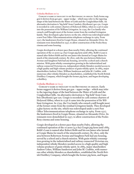### Goluska Medium 10/12

 Gorgie's name is thought to be Brythonic in origin. Early forms suggest it derives from gor gyn – upper wedge – which may refer to the tapering shape of the land between the Water of Leith and the Craiglockhart hills. An alternative derivation is 'big field' from Cumbric (Brythonic) gor cyn. Gorgie is recorded in 12th century charters of Holyrood Abbey, when in 1236 it came into the possession of Sir William Livingston. In 1799, the Cox family who owned a mill bought most of the former estate from the residual Livingston family. They developed a glue factory on the site, which was redeveloped under a new Post Office Telecommunications telephone exchange in 1969. From 1527, the landowners lived in Gorgie House, situated on Alexander Drive. Its remnants were demolished in 1937, to allow construction of the Pooles Roxy cinema and some housing.

Gorgie developed at a slower pace than nearby Dalry, allowing the continued operation of the 10 acres (4.0 ha) Gorgie pig farm until 1885. Robb's Loan is named after Robert Robb and his son James who farmed at Gorgie Mains for much of the nineteenth century. By 1800, only the area between Robertson Avenue and Saughton Park had any housing, served by a school and a church mission. With grain whisky consumption growing in the industrialised and railway connected Victorian era, independent whisky blenders needed access to a high quality and high volume producer of grain whisky spirit. In 1885, major shareholders Andrew Usher, William Sanderson and John M. Crabbie, with numerous other whisky-blenders as shareholders, established the North British Distillery Company, which bought the former pig farm, and began developing a distillery.

### Goluska Medium 11/12.5

 Gorgie's name is thought to be Brythonic in origin. Early forms suggest it derives from gor gyn – upper wedge – which may refer to the tapering shape of the land between the Water of Leith and the Craiglockhart hills. An alternative derivation is 'big field' from Cumbric (Brythonic) gor cyn. Gorgie is recorded in 12th century charters of Holyrood Abbey, when in 1236 it came into the possession of Sir William Livingston. In 1799, the Cox family who owned a mill bought most of the former estate from the residual Livingston family. They developed a glue factory on the site, which was redeveloped under a new Post Office Telecommunications telephone exchange in 1969. From 1527, the landowners lived in Gorgie House, situated on Alexander Drive. Its remnants were demolished in 1937, to allow construction of the Pooles Roxy cinema and some housing.

Gorgie developed at a slower pace than nearby Dalry, allowing the continued operation of the 10 acres (4.0 ha) Gorgie pig farm until 1885. Robb's Loan is named after Robert Robb and his son James who farmed at Gorgie Mains for much of the nineteenth century. By 1800, only the area between Robertson Avenue and Saughton Park had any housing, served by a school and a church mission. With grain whisky consumption growing in the industrialised and railway connected Victorian era, independent whisky blenders needed access to a high quality and high volume producer of grain whisky spirit. In 1885, major shareholders Andrew Usher, William Sanderson and John M. Crabbie, with numerous other whisky-blenders as shareholders, established the North British Distillery Company, which bought the former pig farm, and began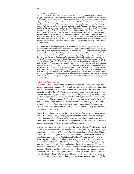### *Goluska Medium Italic 8/9.5*

 *Gorgie's name is thought to be Brythonic in origin. Early forms suggest it derives from gor gyn – upper wedge – which may refer to the tapering shape of the land between the Water of Leith and the Craiglockhart hills. An alternative derivation is 'big field' from Cumbric (Brythonic) gor cyn. Gorgie is recorded in 12th century charters of Holyrood Abbey, when in 1236 it came into the possession of Sir William Livingston. In 1799, the Cox family who owned a mill bought most of the former estate from the residual Livingston family. They developed a glue factory on the site, which was redeveloped under a new Post O9ce Telecommunications telephone exchange in 1969. From 1527, the landowners lived in Gorgie House, situated on Alexander Drive. Its remnants were demolished in 1937, to allow construction of the Pooles Roxy cinema and some housing. Gorgie developed at a slower pace than nearby Dalry, allowing the continued operation of the 10 acres (4.0 ha) Gorgie pig farm until 1885. Robb's Loan is named after Robert Robb and his son James who farmed at Gorgie Mains for much of the nineteenth century. By 1800, only the area between Robertson Avenue and Saughton Park had any housing, served by a school and a church mission.*

*With grain whisky consumption growing in the industrialised and railway connected Victorian era, independent whisky blenders needed access to a high quality and high volume producer of grain whisky spirit. In 1885, major shareholders Andrew Usher, William Sanderson and John M. Crabbie, with numerous other whisky-blenders as shareholders, established the North British Distillery Company, which bought the former pig farm, and began developing a distillery. The distillery gained access to the Edinburgh Suburban and Southside Junction Railway, which began developing a railway station in Gorgie. This brought about the 1888 development of Stewart Terrace, Wardlaw Place, Wardlaw Street, and the tenement flats of Tynecastle Terrace and Ardmillan Terrace; although Gorgie, west of Robertson Avenue, did not lose its rural character until the early 1900s. McVitie & Price Ltd was established in 1830 on Rose Street in Edinburgh. The firm moved to various sites in the city, before completing the St. Andrews Biscuit Works factory on Robertson Avenue in 1888. Though the factory burned down in 1894, it was rebuilt the same year. It is one of the claimed sites of where the digestive biscuit was invented. The site was closed in 1969, when production ceased and operations were transferred to Levenshulme in Manchester, and Harlesden in London. After closure, Ferranti occupied the buildings as an electronics factory until the 1980s.*

### *Goluska Medium Italic 9/11*

 *Gorgie's name is thought to be Brythonic in origin. Early forms suggest it derives from gor gyn – upper wedge – which may refer to the tapering shape of the land*  between the Water of Leith and the Craiglockhart hills. An alternative derivation is 'big field' from Cumbric (Brythonic) gor cyn. Gorgie is recorded in 12th century char*ters of Holyrood Abbey, when in 1236 it came into the possession of Sir William Livingston. In 1799, the Cox family who owned a mill bought most of the former estate from the residual Livingston family. They developed a glue factory on the site, which was redeveloped under a new Post O9ce Telecommunications telephone exchange in 1969. From 1527, the landowners lived in Gorgie House, situated on Alexander Drive. Its remnants were demolished in 1937, to allow construction of the Pooles Roxy cinema and some housing.* 

*Gorgie developed at a slower pace than nearby Dalry, allowing the continued operation of the 10 acres (4.0 ha) Gorgie pig farm until 1885. Robb's Loan is named after Robert Robb and his son James who farmed at Gorgie Mains for much of the nineteenth century. By 1800, only the area between Robertson Avenue and Saughton Park had any housing, served by a school and a church mission.*

*With grain whisky consumption growing in the industrialised and railway connected Victorian era, independent whisky blenders needed access to a high quality and high volume producer of grain whisky spirit. In 1885, major shareholders Andrew Usher, William Sanderson and John M. Crabbie, with numerous other whisky-blenders as shareholders, established the North British Distillery Company, which bought the former pig farm, and began developing a distillery. The distillery gained access to the Edinburgh Suburban and Southside Junction Railway, which began developing a railway station in Gorgie. This brought about the 1888 development of Stewart Terrace, Wardlaw Place, Wardlaw Street, and the tenement flats of Tynecastle Terrace and Ardmillan Terrace; although Gorgie, west of Robertson Avenue, did not lose its rural character until the early 1900s. McVitie & Price Ltd was established in 1830 on Rose Street in Edinburgh. The firm moved to various sites in the city, before completing the St. Andrews Biscuit Works factory on Robertson Avenue in 1888. Though the*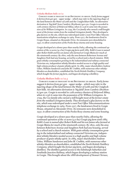### *Goluska Medium Italic 10/12*

 *Gorgie's name is thought to be Brythonic in origin. Early forms suggest it derives from gor gyn – upper wedge – which may refer to the tapering shape of the land between the Water of Leith and the Craiglockhart hills. An alternative derivation is 'big field' from Cumbric (Brythonic) gor cyn. Gorgie is recorded in 12th century charters of Holyrood Abbey, when in 1236 it came into the possession of Sir William Livingston. In 1799, the Cox family who owned a mill bought most of the former estate from the residual Livingston family. They developed a glue factory on the site, which was redeveloped under a new Post O9ce Telecommunications telephone exchange in 1969. From 1527, the landowners lived in Gorgie House, situated on Alexander Drive. Its remnants were demolished in 1937, to allow construction of the Pooles Roxy cinema and some housing.*

*Gorgie developed at a slower pace than nearby Dalry, allowing the continued operation of the 10 acres (4.0 ha) Gorgie pig farm until 1885. Robb's Loan is named after Robert Robb and his son James who farmed at Gorgie Mains for much of the nineteenth century. By 1800, only the area between Robertson Avenue and Saughton Park had any housing, served by a school and a church mission. With grain whisky consumption growing in the industrialised and railway connected Victorian era, independent whisky blenders needed access to a high quality and high volume producer of grain whisky spirit. In 1885, major shareholders Andrew Usher, William Sanderson and John M. Crabbie, with numerous other whiskyblenders as shareholders, established the North British Distillery Company, which bought the former pig farm, and began developing a distillery.* 

### *Goluska Medium Italic 11/12.5*

 *Gorgie's name is thought to be Brythonic in origin. Early forms suggest it derives from gor gyn – upper wedge – which may refer to the tapering shape of the land between the Water of Leith and the Craiglockhart hills. An alternative derivation is 'big field' from Cumbric (Brythonic) gor cyn. Gorgie is recorded in 12th century charters of Holyrood Abbey, when in 1236 it came into the possession of Sir William Livingston. In 1799, the Cox family who owned a mill bought most of the former estate from the residual Livingston family. They developed a glue factory on the site, which was redeveloped under a new Post O9ce Telecommunications telephone exchange in 1969. From 1527, the landowners lived in Gorgie House, situated on Alexander Drive. Its remnants were demolished in 1937, to allow construction of the Pooles Roxy cinema and some housing.*

*Gorgie developed at a slower pace than nearby Dalry, allowing the continued operation of the 10 acres (4.0 ha) Gorgie pig farm until 1885. Robb's Loan is named after Robert Robb and his son James who farmed at Gorgie Mains for much of the nineteenth century. By 1800, only the area between Robertson Avenue and Saughton Park had any housing, served by a school and a church mission. With grain whisky consumption growing in the industrialised and railway connected Victorian era, independent whisky blenders needed access to a high quality and high volume producer of grain whisky spirit. In 1885, major shareholders Andrew Usher, William Sanderson and John M. Crabbie, with numerous other whisky-blenders as shareholders, established the North British Distillery Company, which bought the former pig farm, and began developing a distillery. The distillery gained access to the Edinburgh Suburban and Southside Junction Railway, which began developing a railway station in Gorgie. This brought about the 1888 development of Stewart Terrace,*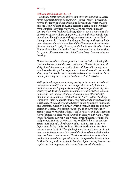### *Goluska Medium Italic 12/13.5*

 *Gorgie's name is thought to be Brythonic in origin. Early forms suggest it derives from gor gyn – upper wedge – which may refer to the tapering shape of the land between the Water of Leith and the Craiglockhart hills. An alternative derivation is 'big field' from Cumbric (Brythonic) gor cyn. Gorgie is recorded in 12th century charters of Holyrood Abbey, when in 1236 it came into the possession of Sir William Livingston. In 1799, the Cox family who owned a mill bought most of the former estate from the residual Livingston family. They developed a glue factory on the site, which was redeveloped under a new Post O9ce Telecommunications telephone exchange in 1969. From 1527, the landowners lived in Gorgie House, situated on Alexander Drive. Its remnants were demolished in 1937, to allow construction of the Pooles Roxy cinema and some housing.*

*Gorgie developed at a slower pace than nearby Dalry, allowing the continued operation of the 10 acres (4.0 ha) Gorgie pig farm until 1885. Robb's Loan is named after Robert Robb and his son James who farmed at Gorgie Mains for much of the nineteenth century. By 1800, only the area between Robertson Avenue and Saughton Park had any housing, served by a school and a church mission.*

*With grain whisky consumption growing in the industrialised and railway connected Victorian era, independent whisky blenders needed access to a high quality and high volume producer of grain whisky spirit. In 1885, major shareholders Andrew Usher, William Sanderson and John M. Crabbie, with numerous other whiskyblenders as shareholders, established the North British Distillery Company, which bought the former pig farm, and began developing a distillery. The distillery gained access to the Edinburgh Suburban and Southside Junction Railway, which began developing a railway station in Gorgie. This brought about the 1888 development of Stewart Terrace, Wardlaw Place, Wardlaw Street, and the tenement flats of Tynecastle Terrace and Ardmillan Terrace; although Gorgie, west of Robertson Avenue, did not lose its rural character until the early 1900s. McVitie & Price Ltd was established in 1830 on Rose Street in Edinburgh. The firm moved to various sites in the city, before completing the St. Andrews Biscuit Works factory on Robertson Avenue in 1888. Though the factory burned down in 1894, it was rebuilt the same year. It is one of the claimed sites of where the digestive biscuit was invented. The site was closed in 1969, when production ceased and operations were transferred to Levenshulme in Manchester, and Harlesden in London. After closure, Ferranti occupied the buildings as an electronics factory until the 1980s.*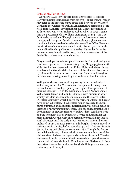### Goluska Medium 12/13.5

 Gorgie's name is thought to be Brythonic in origin. Early forms suggest it derives from gor gyn – upper wedge – which may refer to the tapering shape of the land between the Water of Leith and the Craiglockhart hills. An alternative derivation is 'big field' from Cumbric (Brythonic) gor cyn. Gorgie is recorded in 12th century charters of Holyrood Abbey, when in 1236 it came into the possession of Sir William Livingston. In 1799, the Cox family who owned a mill bought most of the former estate from the residual Livingston family. They developed a glue factory on the site, which was redeveloped under a new Post Office Telecommunications telephone exchange in 1969. From 1527, the landowners lived in Gorgie House, situated on Alexander Drive. Its remnants were demolished in 1937, to allow construction of the Pooles Roxy cinema and some housing.

Gorgie developed at a slower pace than nearby Dalry, allowing the continued operation of the 10 acres (4.0 ha) Gorgie pig farm until 1885. Robb's Loan is named after Robert Robb and his son James who farmed at Gorgie Mains for much of the nineteenth century. By 1800, only the area between Robertson Avenue and Saughton Park had any housing, served by a school and a church mission.

With grain whisky consumption growing in the industrialised and railway connected Victorian era, independent whisky blenders needed access to a high quality and high volume producer of grain whisky spirit. In 1885, major shareholders Andrew Usher, William Sanderson and John M. Crabbie, with numerous other whisky-blenders as shareholders, established the North British Distillery Company, which bought the former pig farm, and began developing a distillery. The distillery gained access to the Edinburgh Suburban and Southside Junction Railway, which began developing a railway station in Gorgie. This brought about the 1888 development of Stewart Terrace, Wardlaw Place, Wardlaw Street, and the tenement flats of Tynecastle Terrace and Ardmillan Terrace; although Gorgie, west of Robertson Avenue, did not lose its rural character until the early 1900s. McVitie & Price Ltd was established in 1830 on Rose Street in Edinburgh. The firm moved to various sites in the city, before completing the St. Andrews Biscuit Works factory on Robertson Avenue in 1888. Though the factory burned down in 1894, it was rebuilt the same year. It is one of the claimed sites of where the digestive biscuit was invented. The site was closed in 1969, when production ceased and operations were transferred to Levenshulme in Manchester, and Harlesden in London. After closure, Ferranti occupied the buildings as an electronics factory until the 1980s.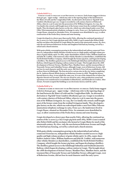### **Goluska Bold 8/9.5**

 **Gorgie's name is thought to be Brythonic in origin. Early forms suggest it derives from gor gyn – upper wedge – which may refer to the tapering shape of the land between the Water of Leith and the Craiglockhart hills. An alternative derivation is 'big field' from Cumbric (Brythonic) gor cyn. Gorgie is recorded in 12th century charters of Holyrood Abbey, when in 1236 it came into the possession of Sir William Livingston. In 1799, the Cox family who owned a mill bought most of the former estate from the residual Livingston family. They developed a glue factory on the site, which was redeveloped under a new Post O9ce Telecommunications telephone exchange in 1969. From 1527, the landowners lived in Gorgie House, situated on Alexander Drive. Its remnants were demolished in 1937, to allow construction of the Pooles Roxy cinema and some housing.** 

**Gorgie developed at a slower pace than nearby Dalry, allowing the continued operation of the 10 acres (4.0 ha) Gorgie pig farm until 1885. Robb's Loan is named after Robert Robb and his son James who farmed at Gorgie Mains for much of the nineteenth century. By 1800, only the area between Robertson Avenue and Saughton Park had any housing, served by a school and a church mission.** 

**With grain whisky consumption growing in the industrialised and railway connected Victorian era, independent whisky blenders needed access to a high quality and high volume producer of grain whisky spirit. In 1885, major shareholders Andrew Usher, William Sanderson and John M. Crabbie, with numerous other whisky-blenders as shareholders, established the North British Distillery Company, which bought the former pig farm, and began developing a distillery. The distillery gained access to the Edinburgh Suburban and Southside Junction Railway, which began developing a railway station in Gorgie. This brought about the 1888 development of Stewart Terrace, Wardlaw Place, Wardlaw Street, and the tenement flats of Tynecastle Terrace and Ardmillan Terrace; although Gorgie, west of Robertson Avenue, did not lose its rural character until the early 1900s. McVitie & Price Ltd was established in 1830 on Rose Street in Edinburgh. The firm moved to various sites in the city, before completing the St. Andrews Biscuit Works factory on Robertson Avenue in 1888. Though the factory burned down in 1894, it was rebuilt the same year. It is one of the claimed sites of where the digestive biscuit was invented. The site was closed in 1969, when production ceased and operations were transferred to Levenshulme in Manchester, and Harlesden in London. After closure, Ferranti occupied the buildings as an electronics factory until the 1980s.**

### **Goluska Bold 9/11**

 **Gorgie's name is thought to be Brythonic in origin. Early forms suggest it derives from gor gyn – upper wedge – which may refer to the tapering shape of the land between the Water of Leith and the Craiglockhart hills. An alternative derivation is 'big field' from Cumbric (Brythonic) gor cyn. Gorgie is recorded in 12th century charters of Holyrood Abbey, when in 1236 it came into the possession of Sir William Livingston. In 1799, the Cox family who owned a mill bought most of the former estate from the residual Livingston family. They developed a glue factory on the site, which was redeveloped under a new Post O9ce Telecommunications telephone exchange in 1969. From 1527, the landowners lived in Gorgie House, situated on Alexander Drive. Its remnants were demolished in 1937, to allow construction of the Pooles Roxy cinema and some housing.**

**Gorgie developed at a slower pace than nearby Dalry, allowing the continued operation of the 10 acres (4.0 ha) Gorgie pig farm until 1885. Robb's Loan is named after Robert Robb and his son James who farmed at Gorgie Mains for much of the nineteenth century. By 1800, only the area between Robertson Avenue and Saughton Park had any housing, served by a school and a church mission.** 

**With grain whisky consumption growing in the industrialised and railway connected Victorian era, independent whisky blenders needed access to a high quality and high volume producer of grain whisky spirit. In 1885, major shareholders Andrew Usher, William Sanderson and John M. Crabbie, with numerous other whisky-blenders as shareholders, established the North British Distillery Company, which bought the former pig farm, and began developing a distillery. The distillery gained access to the Edinburgh Suburban and Southside Junction Railway, which began developing a railway station in Gorgie. This brought about the 1888 development of Stewart Terrace, Wardlaw Place, Wardlaw Street, and the tenement flats of Tynecastle Terrace and Ardmillan Terrace; although Gorgie, west of Robertson Avenue, did not lose its rural character until the early 1900s.**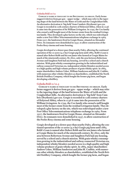### **Goluska Bold 10/12**

 **Gorgie's name is thought to be Brythonic in origin. Early forms suggest it derives from gor gyn – upper wedge – which may refer to the tapering shape of the land between the Water of Leith and the Craiglockhart hills. An alternative derivation is 'big field' from Cumbric (Brythonic) gor cyn. Gorgie is recorded in 12th century charters of Holyrood Abbey, when in 1236 it came into the possession of Sir William Livingston. In 1799, the Cox family who owned a mill bought most of the former estate from the residual Livingston family. They developed a glue factory on the site, which was redeveloped under a new Post O9ce Telecommunications telephone exchange in 1969. From 1527, the landowners lived in Gorgie House, situated on Alexander Drive. Its remnants were demolished in 1937, to allow construction of the Pooles Roxy cinema and some housing.** 

**Gorgie developed at a slower pace than nearby Dalry, allowing the continued operation of the 10 acres (4.0 ha) Gorgie pig farm until 1885. Robb's Loan is named after Robert Robb and his son James who farmed at Gorgie Mains for much of the nineteenth century. By 1800, only the area between Robertson Avenue and Saughton Park had any housing, served by a school and a church mission. With grain whisky consumption growing in the industrialised and railway connected Victorian era, independent whisky blenders needed access to a high quality and high volume producer of grain whisky spirit. In 1885, major shareholders Andrew Usher, William Sanderson and John M. Crabbie, with numerous other whisky-blenders as shareholders, established the North British Distillery Company, which bought the former pig farm, and began developing a distillery.**

### **Goluska Bold 11/12.5**

 **Gorgie's name is thought to be Brythonic in origin. Early forms suggest it derives from gor gyn – upper wedge – which may refer to the tapering shape of the land between the Water of Leith and the Craiglockhart hills. An alternative derivation is 'big field' from Cumbric (Brythonic) gor cyn. Gorgie is recorded in 12th century charters of Holyrood Abbey, when in 1236 it came into the possession of Sir William Livingston. In 1799, the Cox family who owned a mill bought most of the former estate from the residual Livingston family. They developed a glue factory on the site, which was redeveloped under a new Post O9ce Telecommunications telephone exchange in 1969. From 1527, the landowners lived in Gorgie House, situated on Alexander Drive. Its remnants were demolished in 1937, to allow construction of the Pooles Roxy cinema and some housing.** 

**Gorgie developed at a slower pace than nearby Dalry, allowing the continued operation of the 10 acres (4.0 ha) Gorgie pig farm until 1885. Robb's Loan is named after Robert Robb and his son James who farmed at Gorgie Mains for much of the nineteenth century. By 1800, only the area between Robertson Avenue and Saughton Park had any housing, served by a school and a church mission. With grain whisky consumption growing in the industrialised and railway connected Victorian era, independent whisky blenders needed access to a high quality and high volume producer of grain whisky spirit. In 1885, major shareholders Andrew Usher, William Sanderson and John M. Crabbie, with numerous other whisky-blenders as shareholders, established the North British Distillery Company, which bought the former pig farm, and began**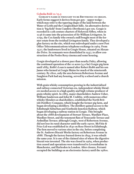### **Goluska Bold 12/13.5**

 **Gorgie's name is thought to be Brythonic in origin. Early forms suggest it derives from gor gyn – upper wedge – which may refer to the tapering shape of the land between the Water of Leith and the Craiglockhart hills. An alternative derivation is 'big field' from Cumbric (Brythonic) gor cyn. Gorgie is recorded in 12th century charters of Holyrood Abbey, when in 1236 it came into the possession of Sir William Livingston. In 1799, the Cox family who owned a mill bought most of the former estate from the residual Livingston family. They developed a glue factory on the site, which was redeveloped under a new Post O9ce Telecommunications telephone exchange in 1969. From 1527, the landowners lived in Gorgie House, situated on Alexander Drive. Its remnants were demolished in 1937, to allow construction of the Pooles Roxy cinema and some housing.** 

**Gorgie developed at a slower pace than nearby Dalry, allowing the continued operation of the 10 acres (4.0 ha) Gorgie pig farm until 1885. Robb's Loan is named after Robert Robb and his son James who farmed at Gorgie Mains for much of the nineteenth century. By 1800, only the area between Robertson Avenue and Saughton Park had any housing, served by a school and a church mission.** 

**With grain whisky consumption growing in the industrialised and railway connected Victorian era, independent whisky blenders needed access to a high quality and high volume producer of grain whisky spirit. In 1885, major shareholders Andrew Usher, William Sanderson and John M. Crabbie, with numerous other whisky-blenders as shareholders, established the North British Distillery Company, which bought the former pig farm, and began developing a distillery. The distillery gained access to the Edinburgh Suburban and Southside Junction Railway, which began developing a railway station in Gorgie. This brought about the 1888 development of Stewart Terrace, Wardlaw Place, Wardlaw Street, and the tenement flats of Tynecastle Terrace and Ardmillan Terrace; although Gorgie, west of Robertson Avenue, did not lose its rural character until the early 1900s. McVitie & Price Ltd was established in 1830 on Rose Street in Edinburgh. The firm moved to various sites in the city, before completing the St. Andrews Biscuit Works factory on Robertson Avenue in 1888. Though the factory burned down in 1894, it was rebuilt the same year. It is one of the claimed sites of where the digestive biscuit was invented. The site was closed in 1969, when production ceased and operations were transferred to Levenshulme in Manchester, and Harlesden in London. After closure, Ferranti occupied the buildings as an electronics factory until the 1980s.**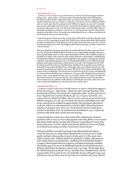### *Goluska Bold Italic 8/9.5*

 *Gorgie's name is thought to be Brythonic in origin. Early forms suggest it derives from gor gyn – upper wedge – which may refer to the tapering shape of the land between the Water of Leith and the Craiglockhart hills. An alternative derivation is 'big field' from Cumbric (Brythonic) gor cyn. Gorgie is recorded in 12th century charters of Holyrood Abbey, when in 1236 it came into the possession of Sir William Livingston. In 1799, the Cox family who owned a mill bought most of the former estate from the residual Livingston family. They*  developed a glue factory on the site, which was redeveloped under a new Post Office Telecom*munications telephone exchange in 1969. From 1527, the landowners lived in Gorgie House, situated on Alexander Drive. Its remnants were demolished in 1937, to allow construction of the Pooles Roxy cinema and some housing.* 

*Gorgie developed at a slower pace than nearby Dalry, allowing the continued operation of the 10 acres (4.0 ha) Gorgie pig farm until 1885. Robb's Loan is named after Robert Robb and his son James who farmed at Gorgie Mains for much of the nineteenth century. By 1800, only the area between Robertson Avenue and Saughton Park had any housing, served by a school and a church mission.* 

*With grain whisky consumption growing in the industrialised and railway connected Victorian era, independent whisky blenders needed access to a high quality and high volume producer of grain whisky spirit. In 1885, major shareholders Andrew Usher, William Sanderson and John M. Crabbie, with numerous other whisky-blenders as shareholders, established the North British Distillery Company, which bought the former pig farm, and began developing a distillery. The distillery gained access to the Edinburgh Suburban and Southside Junction*  Railway, which began developing a railway station in Gorgie. This brought about the 1888 *development of Stewart Terrace, Wardlaw Place, Wardlaw Street, and the tenement flats of Tynecastle Terrace and Ardmillan Terrace; although Gorgie, west of Robertson Avenue, did not lose its rural character until the early 1900s. McVitie & Price Ltd was established in 1830 on Rose Street in Edinburgh. The firm moved to various sites in the city, before completing the St. Andrews Biscuit Works factory on Robertson Avenue in 1888. Though the factory burned down in 1894, it was rebuilt the same year. It is one of the claimed sites of where the digestive biscuit was invented. The site was closed in 1969, when production ceased and operations were transferred to Levenshulme in Manchester, and Harlesden in London. After closure, Ferranti occupied the buildings as an electronics factory until the 1980s.*

### *Goluska Bold Italic 9/11*

 *Gorgie's name is thought to be Brythonic in origin. Early forms suggest it derives from gor gyn – upper wedge – which may refer to the tapering shape of the land between the Water of Leith and the Craiglockhart hills. An alternative derivation is 'big field' from Cumbric (Brythonic) gor cyn. Gorgie is recorded in 12th century charters of Holyrood Abbey, when in 1236 it came into the possession of Sir William Livingston. In 1799, the Cox family who owned a mill bought most of the former estate from the residual Livingston family. They developed a glue factory on the site, which was redeveloped under a new Post O9ce Telecommunications telephone exchange in 1969. From 1527, the landowners lived in Gorgie House,*  situated on Alexander Drive. Its remnants were demolished in 1937, to allow con*struction of the Pooles Roxy cinema and some housing.*

*Gorgie developed at a slower pace than nearby Dalry, allowing the continued operation of the 10 acres (4.0 ha) Gorgie pig farm until 1885. Robb's Loan is named after Robert Robb and his son James who farmed at Gorgie Mains for much of the nineteenth century. By 1800, only the area between Robertson Avenue and Saughton Park had any housing, served by a school and a church mission.* 

*With grain whisky consumption growing in the industrialised and railway connected Victorian era, independent whisky blenders needed access to a high quality and high volume producer of grain whisky spirit. In 1885, major shareholders Andrew Usher, William Sanderson and John M. Crabbie, with numerous other whisky-blenders as shareholders, established the North British Distillery Company, which bought the former pig farm, and began developing a distillery. The distillery gained access to the Edinburgh Suburban and Southside Junction Railway, which began developing a railway station in Gorgie. This brought about the 1888 development of Stewart Terrace, Wardlaw Place, Wardlaw Street, and the tenement flats of Tynecastle Terrace and Ardmillan Terrace; although Gorgie, west of Robertson Avenue, did not lose its rural character until the early 1900s. McVitie*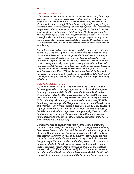### *Goluska Bold Italic 10/12*

 *Gorgie's name is thought to be Brythonic in origin. Early forms suggest it derives from gor gyn – upper wedge – which may refer to the tapering shape of the land between the Water of Leith and the Craiglockhart hills. An alternative derivation is 'big field' from Cumbric (Brythonic) gor cyn. Gorgie is recorded in 12th century charters of Holyrood Abbey, when in 1236 it came into the possession of Sir William Livingston. In 1799, the Cox family who owned a mill bought most of the former estate from the residual Livingston family. They developed a glue factory on the site, which was redeveloped under a new Post O9ce Telecommunications telephone exchange in 1969. From 1527, the landowners lived in Gorgie House, situated on Alexander Drive. Its remnants were demolished in 1937, to allow construction of the Pooles Roxy cinema and some housing.* 

*Gorgie developed at a slower pace than nearby Dalry, allowing the continued operation of the 10 acres (4.0 ha) Gorgie pig farm until 1885. Robb's Loan is named after Robert Robb and his son James who farmed at Gorgie Mains for much of the nineteenth century. By 1800, only the area between Robertson Avenue and Saughton Park had any housing, served by a school and a church mission. With grain whisky consumption growing in the industrialised and railway connected Victorian era, independent whisky blenders needed access to a high quality and high volume producer of grain whisky spirit. In 1885, major shareholders Andrew Usher, William Sanderson and John M. Crabbie, with numerous other whisky-blenders as shareholders, established the North British Distillery Company, which bought the former pig farm, and began developing a distillery.*

### *Goluska Bold Italic 11/12.5*

 *Gorgie's name is thought to be Brythonic in origin. Early forms suggest it derives from gor gyn – upper wedge – which may refer to the tapering shape of the land between the Water of Leith and the Craiglockhart hills. An alternative derivation is 'big field' from Cumbric (Brythonic) gor cyn. Gorgie is recorded in 12th century charters of Holyrood Abbey, when in 1236 it came into the possession of Sir William Livingston. In 1799, the Cox family who owned a mill bought most of the former estate from the residual Livingston family. They developed a glue factory on the site, which was redeveloped under a new Post Office Telecommunications telephone exchange in 1969. From 1527, the landowners lived in Gorgie House, situated on Alexander Drive. Its remnants were demolished in 1937, to allow construction of the Pooles Roxy cinema and some housing.* 

*Gorgie developed at a slower pace than nearby Dalry, allowing the continued operation of the 10 acres (4.0 ha) Gorgie pig farm until 1885. Robb's Loan is named after Robert Robb and his son James who farmed at Gorgie Mains for much of the nineteenth century. By 1800, only the area between Robertson Avenue and Saughton Park had any housing, served by a school and a church mission. With grain whisky consumption growing in the industrialised and railway connected Victorian era, independent whisky blenders needed access to a high quality and high volume producer of grain whisky spirit. In 1885, major shareholders Andrew Usher, William Sanderson and John M. Crabbie, with numerous other whisky-blenders as shareholders, established the North British Distillery Company, which bought the former pig farm, and began*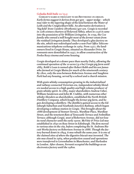### *Goluska Bold Italic 12/13.5*

 *Gorgie's name is thought to be Brythonic in origin. Early forms suggest it derives from gor gyn – upper wedge – which may refer to the tapering shape of the land between the Water of Leith and the Craiglockhart hills. An alternative derivation is 'big field' from Cumbric (Brythonic) gor cyn. Gorgie is recorded in 12th century charters of Holyrood Abbey, when in 1236 it came into the possession of Sir William Livingston. In 1799, the Cox family who owned a mill bought most of the former estate from the residual Livingston family. They developed a glue factory on the site, which was redeveloped under a new Post O9ce Telecommunications telephone exchange in 1969. From 1527, the landowners lived in Gorgie House, situated on Alexander Drive. Its remnants were demolished in 1937, to allow construction of the Pooles Roxy cinema and some housing.* 

*Gorgie developed at a slower pace than nearby Dalry, allowing the continued operation of the 10 acres (4.0 ha) Gorgie pig farm until 1885. Robb's Loan is named after Robert Robb and his son James who farmed at Gorgie Mains for much of the nineteenth century. By 1800, only the area between Robertson Avenue and Saughton Park had any housing, served by a school and a church mission.* 

*With grain whisky consumption growing in the industrialised and railway connected Victorian era, independent whisky blenders needed access to a high quality and high volume producer of grain whisky spirit. In 1885, major shareholders Andrew Usher, William Sanderson and John M. Crabbie, with numerous other whisky-blenders as shareholders, established the North British Distillery Company, which bought the former pig farm, and began developing a distillery. The distillery gained access to the Edinburgh Suburban and Southside Junction Railway, which began developing a railway station in Gorgie. This brought about the 1888 development of Stewart Terrace, Wardlaw Place, Wardlaw Street, and the tenement flats of Tynecastle Terrace and Ardmillan Terrace; although Gorgie, west of Robertson Avenue, did not lose its rural character until the early 1900s. McVitie & Price Ltd was established in 1830 on Rose Street in Edinburgh. The firm moved to various sites in the city, before completing the St. Andrews Biscuit Works factory on Robertson Avenue in 1888. Though the factory burned down in 1894, it was rebuilt the same year. It is one of the claimed sites of where the digestive biscuit was invented. The site was closed in 1969, when production ceased and operations were transferred to Levenshulme in Manchester, and Harlesden in London. After closure, Ferranti occupied the buildings as an electronics factory until the 1980s.*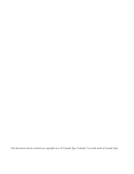*This document and its contents are copyright 2021 © Canada Type. Goluska™ is a trade mark of Canada Type.*